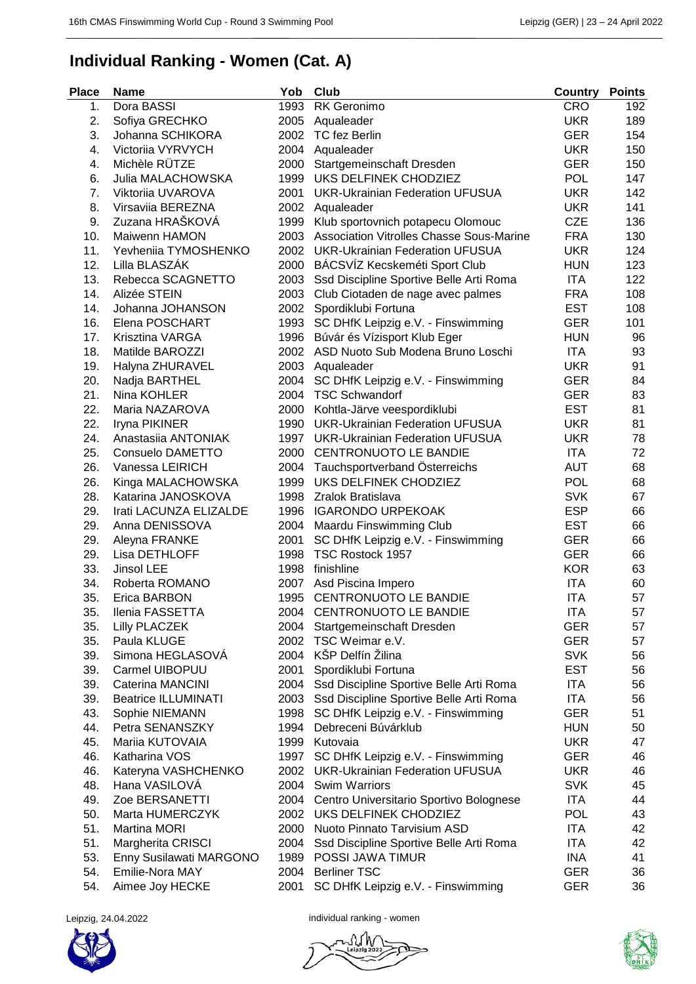\_\_\_\_\_\_\_\_\_\_\_\_\_\_\_\_\_\_\_\_\_\_\_\_\_\_\_\_\_\_\_\_\_\_\_\_\_\_\_\_\_\_\_

## **Individual Ranking - Women (Cat. A)**

\_\_\_\_\_\_\_\_\_\_\_\_\_\_\_\_\_\_\_\_\_\_\_\_\_\_\_\_\_\_\_\_\_\_\_\_\_\_\_\_\_\_\_ \_\_\_\_\_\_\_\_\_\_\_\_\_\_\_\_\_\_\_\_\_\_\_\_\_\_\_\_\_\_\_\_\_\_\_\_\_\_\_\_\_\_\_

| <b>Place</b> | <b>Name</b>                | Yob  | Club                                            | Country    | <b>Points</b> |
|--------------|----------------------------|------|-------------------------------------------------|------------|---------------|
| 1.           | Dora BASSI                 | 1993 | RK Geronimo                                     | <b>CRO</b> | 192           |
| 2.           | Sofiya GRECHKO             | 2005 | Aqualeader                                      | <b>UKR</b> | 189           |
| 3.           | Johanna SCHIKORA           | 2002 | TC fez Berlin                                   | <b>GER</b> | 154           |
| 4.           | Victoriia VYRVYCH          | 2004 | Aqualeader                                      | <b>UKR</b> | 150           |
| 4.           | Michèle RÜTZE              | 2000 | Startgemeinschaft Dresden                       | <b>GER</b> | 150           |
| 6.           | Julia MALACHOWSKA          | 1999 | UKS DELFINEK CHODZIEZ                           | <b>POL</b> | 147           |
| 7.           | Viktoriia UVAROVA          | 2001 | <b>UKR-Ukrainian Federation UFUSUA</b>          | <b>UKR</b> | 142           |
| 8.           | Virsaviia BEREZNA          | 2002 | Aqualeader                                      | <b>UKR</b> | 141           |
| 9.           | Zuzana HRAŠKOVÁ            | 1999 | Klub sportovnich potapecu Olomouc               | <b>CZE</b> | 136           |
| 10.          | Maiwenn HAMON              | 2003 | <b>Association Vitrolles Chasse Sous-Marine</b> | <b>FRA</b> | 130           |
| 11.          | Yevheniia TYMOSHENKO       | 2002 | <b>UKR-Ukrainian Federation UFUSUA</b>          | <b>UKR</b> | 124           |
| 12.          | Lilla BLASZÁK              |      | 2000 BÁCSVÍZ Kecskeméti Sport Club              | <b>HUN</b> | 123           |
| 13.          | Rebecca SCAGNETTO          | 2003 | Ssd Discipline Sportive Belle Arti Roma         | <b>ITA</b> | 122           |
| 14.          | Alizée STEIN               | 2003 | Club Ciotaden de nage avec palmes               | <b>FRA</b> | 108           |
| 14.          | Johanna JOHANSON           |      | 2002 Spordiklubi Fortuna                        | <b>EST</b> | 108           |
| 16.          | Elena POSCHART             | 1993 | SC DHfK Leipzig e.V. - Finswimming              | <b>GER</b> | 101           |
| 17.          | Krisztina VARGA            | 1996 | Búvár és Vízisport Klub Eger                    | <b>HUN</b> | 96            |
| 18.          | Matilde BAROZZI            |      | 2002 ASD Nuoto Sub Modena Bruno Loschi          | <b>ITA</b> | 93            |
| 19.          | Halyna ZHURAVEL            | 2003 | Aqualeader                                      | <b>UKR</b> | 91            |
| 20.          | Nadja BARTHEL              | 2004 | SC DHfK Leipzig e.V. - Finswimming              | <b>GER</b> | 84            |
| 21.          | Nina KOHLER                | 2004 | <b>TSC Schwandorf</b>                           | <b>GER</b> | 83            |
| 22.          | Maria NAZAROVA             | 2000 | Kohtla-Järve veespordiklubi                     | <b>EST</b> | 81            |
| 22.          | Iryna PIKINER              | 1990 | <b>UKR-Ukrainian Federation UFUSUA</b>          | <b>UKR</b> | 81            |
| 24.          | Anastasiia ANTONIAK        | 1997 | <b>UKR-Ukrainian Federation UFUSUA</b>          | <b>UKR</b> | 78            |
| 25.          | Consuelo DAMETTO           | 2000 | CENTRONUOTO LE BANDIE                           | <b>ITA</b> | 72            |
| 26.          | Vanessa LEIRICH            |      | 2004 Tauchsportverband Österreichs              | <b>AUT</b> | 68            |
| 26.          | Kinga MALACHOWSKA          | 1999 | UKS DELFINEK CHODZIEZ                           | <b>POL</b> | 68            |
| 28.          | Katarina JANOSKOVA         | 1998 | Zralok Bratislava                               | <b>SVK</b> | 67            |
| 29.          | Irati LACUNZA ELIZALDE     | 1996 | <b>IGARONDO URPEKOAK</b>                        | <b>ESP</b> | 66            |
| 29.          | Anna DENISSOVA             | 2004 | Maardu Finswimming Club                         | <b>EST</b> | 66            |
| 29.          | Aleyna FRANKE              | 2001 | SC DHfK Leipzig e.V. - Finswimming              | <b>GER</b> | 66            |
| 29.          | Lisa DETHLOFF              | 1998 | TSC Rostock 1957                                | <b>GER</b> | 66            |
| 33.          | Jinsol LEE                 | 1998 | finishline                                      | <b>KOR</b> | 63            |
| 34.          | Roberta ROMANO             | 2007 | Asd Piscina Impero                              | <b>ITA</b> | 60            |
| 35.          | Erica BARBON               | 1995 | CENTRONUOTO LE BANDIE                           | <b>ITA</b> | 57            |
| 35.          | Ilenia FASSETTA            |      | 2004 CENTRONUOTO LE BANDIE                      | <b>ITA</b> | 57            |
|              |                            |      |                                                 |            |               |
| 35.          | Lilly PLACZEK              | 2004 | Startgemeinschaft Dresden<br>TSC Weimar e.V.    | <b>GER</b> | 57            |
| 35.          | Paula KLUGE                | 2002 | 2004 KŠP Delfín Žilina                          | <b>GER</b> | 57            |
| 39.          | Simona HEGLASOVÁ           |      |                                                 | <b>SVK</b> | 56            |
| 39.          | Carmel UIBOPUU             | 2001 | Spordiklubi Fortuna                             | <b>EST</b> | 56            |
| 39.          | <b>Caterina MANCINI</b>    | 2004 | Ssd Discipline Sportive Belle Arti Roma         | <b>ITA</b> | 56            |
| 39.          | <b>Beatrice ILLUMINATI</b> | 2003 | Ssd Discipline Sportive Belle Arti Roma         | <b>ITA</b> | 56            |
| 43.          | Sophie NIEMANN             | 1998 | SC DHfK Leipzig e.V. - Finswimming              | <b>GER</b> | 51            |
| 44.          | Petra SENANSZKY            | 1994 | Debreceni Búvárklub                             | <b>HUN</b> | 50            |
| 45.          | Mariia KUTOVAIA            |      | 1999 Kutovaia                                   | <b>UKR</b> | 47            |
| 46.          | Katharina VOS              | 1997 | SC DHfK Leipzig e.V. - Finswimming              | <b>GER</b> | 46            |
| 46.          | Kateryna VASHCHENKO        | 2002 | <b>UKR-Ukrainian Federation UFUSUA</b>          | <b>UKR</b> | 46            |
| 48.          | Hana VASILOVÁ              |      | 2004 Swim Warriors                              | <b>SVK</b> | 45            |
| 49.          | Zoe BERSANETTI             | 2004 | Centro Universitario Sportivo Bolognese         | <b>ITA</b> | 44            |
| 50.          | Marta HUMERCZYK            | 2002 | UKS DELFINEK CHODZIEZ                           | POL        | 43            |
| 51.          | <b>Martina MORI</b>        | 2000 | Nuoto Pinnato Tarvisium ASD                     | <b>ITA</b> | 42            |
| 51.          | Margherita CRISCI          | 2004 | Ssd Discipline Sportive Belle Arti Roma         | <b>ITA</b> | 42            |
| 53.          | Enny Susilawati MARGONO    | 1989 | POSSI JAWA TIMUR                                | INA        | 41            |
| 54.          | Emilie-Nora MAY            | 2004 | <b>Berliner TSC</b>                             | <b>GER</b> | 36            |
| 54.          | Aimee Joy HECKE            | 2001 | SC DHfK Leipzig e.V. - Finswimming              | <b>GER</b> | 36            |



Leipzig, 24.04.2022 **individual ranking - women**